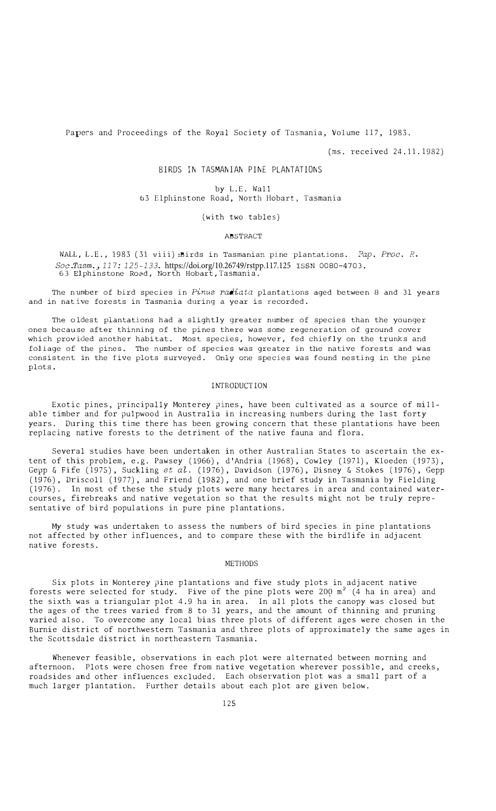Papers and Proceedings of the Royal Society of Tasmania, Volume 117, 1983.

(ms. received 24.11.1982)

# BIRDS IN TASMANIAN PINE PLANTATIONS

by L.E. Wall 63 Elphinstone Road, North Hobart, Tasmania

#### (with two tables)

### ABSTRACT

WALL, L.E., 1983 (31 viii):Birds in Tasmanian pine plantations. *Pap. Proc. R. Soc.Tasm., 117: 125-133.* https://doi.org/10.26749/rstpp.117.125 ISSN 0080-4703.<br>63 Elphinstone Road, North Hobart,Tasmania.

The number of bird species in *Pinus radiata* plantations aged between 8 and 31 years and in native forests in Tasmania during a year is recorded.

The oldest plantations had a slightly greater number of species than the younger ones because after thinning of the pines there was some regeneration of ground cover which provided another habitat. Most species, however, fed chiefly on the trunks and foliage of the pines. The number of species was greater in the native forests and was consistent in the five plots surveyed. Only one species was found nesting in the pine plots.

#### INTRODUCTION

Exotic pines, principally Monterey pines, have been cultivated as a source of millable timber and for pulpwood in Australia in increasing numbers during the last forty years. During this time there has been growing concern that these plantations have been replacing native forests to the detriment of the native fauna and flora.

Several studies have been undertaken in other Australian States to ascertain the extent of this problem, e.g. Pawsey (1966), d'Andria (1968), Cowley (1971), Kloeden (1973), Gepp & Fife (1975), Suckling *et al.* (1976), Davidson (1976), Disney & Stokes (1976), Gepp (1976), Driscoll (1977), and Friend (1982), and one brief study in Tasmania by Fielding (1976). In most of these the study plots were many hectares in area and contained watercourses, firebreaks and native vegetation so that the results might not be truly representative of bird populations in pure pine plantations.

My study was undertaken to assess the numbers of bird species in pine plantations not affected by other influences, and to compare these with the birdlife in adjacent native forests.

### METHODS

Six plots in Monterey pine plantations and five study plots in adjacent native forests were selected for study. Five of the pine plots were  $200 \text{ m}^2$  (4 ha in area) and the sixth was a triangular plot 4.9 ha in area. In all plots the canopy was closed but the ages of the trees varied from 8 to 31 years, and the amount of thinning and pruning varied also. To overcome any local bias three plots of different ages were chosen in the Burnie district of northwestern Tasmania and three plots of approximately the same ages in the Scottsdale district in northeastern Tasmania.

Whenever feasible, observations in each plot were alternated between morning and afternoon. Plots were chosen free from native vegetation wherever possible, and creeks, roadsides and other influences excluded. Each observation plot was a small part of a much larger plantation. Further details about each plot are given below.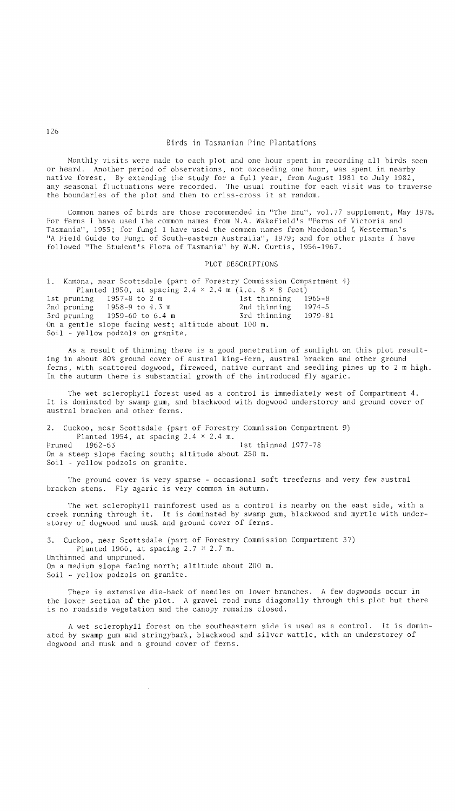Monthly visits were made to each plot and one hour spent in recording all birds seen or heard. Another period of observations, not exceeding one hour, was spent in nearby native forest. By extending the study for a full year, from August 1981 to July 1982, any seasonal fluctuations were recorded. The usual routine for each visit was to traverse the boundaries of the plot and then to criss-cross it at random.

Common names of birds are those recommended in "The Emu", vol.77 supplement, May 1978. For ferns I have used the common names from N.A. Wakefield's "Ferns of Victoria and<br>Tasmania", 1955; for fungi I have used the common names from Macdonald & Westerman's , 1955; for fungi I have used the common names from Macdonald & Westerman's "A Field Guide to Fungi of South-eastern Australia", 1979; and for other plants I have followed "The Student's Flora of Tasmania" by W.M. Curtis, 1956-1967.

#### PLOT DESCRIPTIONS

1. Kamona, near Scottsdale (part of Forestry Commission Compartment 4) Planted 1950, at spacing  $2.4 \times 2.4$  m (i.e.  $8 \times 8$  feet)<br>uning 1957-8 to 2 m 1st thinning 1965-8 1st pruning 1957-8 to 2 m 1st thinning 1965-8<br>
2nd pruning 1958-9 to 4.3 m 2nd thinning 1974-5 1958-9 to 4.3 m 2nd thinning 1974-5<br>1959-60 to 6.4 m 3rd thinning 1979-81 3rd pruning  $1959-60$  to 6.4 m On a gentle slope facing west; altitude about 100 m. Soil - yellow podzols on granite.

As a result of thinning there is a good penetration of sunlight on this plot resulting in about 80% ground cover of austral king-fern, austral bracken and other ground ferns, with scattered dogwood, fireweed, native currant and seedling pines up to 2 m high. In the autumn there is substantial growth of the introduced fly agaric.

The wet sclerophyll forest used as a control is immediately west of Compartment 4. It is dominated by swamp gum, and blackwood with dogwood understorey and ground cover of austral bracken and other ferns.

2. Cuckoo, near Scottsdale (part of Forestry Commission Compartment 9) Planted 1954, at spacing  $2.4 \times 2.4$  m.<br>Pruned 1962-63 1st thinned 1977-78 On a steep slope facing south; altitude about 250 m. Soil - yellow podzols on granite.

The ground cover is very sparse - occasional soft treeferns and very few austral bracken stems. Fly agaric is very common in autumn.

The wet sclerophyll rainforest used as a control'is nearby on the east side, with a creek running through it. It is dominated by swamp gum, blackwood and myrtle with understorey of dogwood and musk and ground cover of ferns.

3. Cuckoo, near Scottsdale (part of Forestry Commission Compartment 37) Planted 1966, at spacing  $2.7 \times 2.7$  m. Unthinned and unpruned. On a medium slope facing north; altitude about 200 m. Soil - yellow podzols on granite.

There is extensive die-back of needles on lower branches. A few dogwoods occur in the lower section of the plot. A gravel road runs diagonally through this plot but there is no roadside vegetation and the canopy remains closed.

A wet sclerophyll forest on the southeastern side is used as a control. It is dominated by swamp gum and stringybark, blackwood and silver wattle, with an understorey of dogwood and musk and a ground cover of ferns.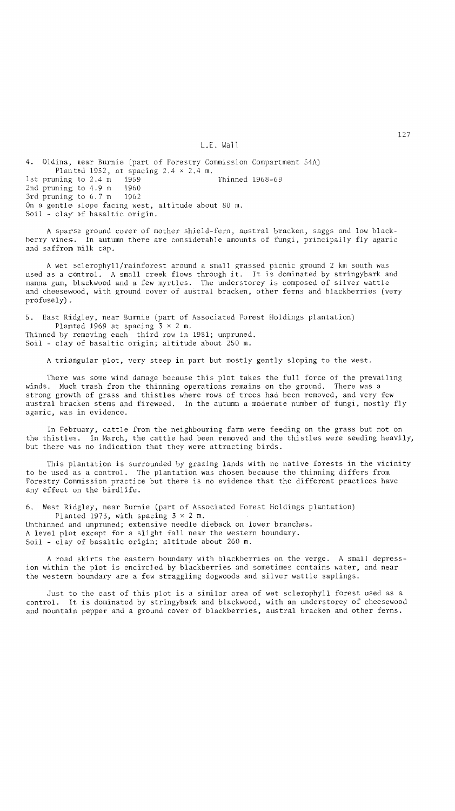### L.E. Wall

4. Oldina, near Burnie (part of Forestry Commission Compartment 54A) Planted 1952, at spacing 2.4 x 2.4 m. 1st pruning to  $2.4 \text{ m}$  1959 Thinned 1968-69 2nd pruning to 4.9 m 1960<br>3rd pruning to 6.7 m 1962 3rd pruning to 6.7 m On a gentle slope facing west, altitude about 80 m. Soil - clay of basaltic origin.

A sparse ground cover of mother shield-fern, austral bracken, saggs and low blackberry vines. In autumn there are considerable amounts of fungi, principally fly agaric and saffron milk cap.

A wet sclerophyll/rainforest around a small grassed picnic ground 2 km south was used as a control. A small creek flows through it. It is dominated by stringybark and manna gum, blackwood and a few myrtles. The understorey is composed of silver wattle and cheesewood, with ground cover of austral bracken, other ferns and blackberries (very profusely).

5. East Ridgley, near Burnie (part of Associated Forest Holdings plantation) Planted 1969 at spacing  $3 \times 2$  m. Thinned by removing each third row in 1981; unpruned. Soil - clay of basaltic origin; altitude about 250 m.

A triangular plot, very steep in part but mostly gently sloping to the west.

There was some wind damage because this plot takes the full force of the prevailing winds. Much trash from the thinning operations remains on the ground. There was a strong growth of grass and thistles where rows of trees had been removed, and very few austral bracken stems and fireweed. In the autumn a moderate number of fungi, mostly fly agaric, was in evidence.

In February, cattle from the neighbouring farm were feeding on the grass but not on the thistles. In March, the cattle had been removed and the thistles were seeding heavily, but there was no indication that they were attracting birds.

This plantation is surrounded by grazing lands with no native forests in the vicinity to be used as a control. The plantation was chosen because the thinning differs from Forestry Commission practice but there is no evidence that the different practices have any effect on the birdlife.

6. West Ridgley, near Burnie (part of Associated Forest Holdings plantation) Planted 1973, with spacing  $3 \times 2$  m. Unthinned and unpruned; extensive needle dieback on lower branches. A level plot except for a slight fall near the western boundary. Soil - clay of basaltic origin; altitude about 260 m.

A road skirts the eastern boundary with blackberries on the verge. A small depression within the plot is encircled by blackberries and sometimes contains water, and near the western boundary are a few straggling dogwoods and silver wattle saplings.

Just to the east of this plot is a similar area of wet sclerophyll forest used as a control. It is dominated by stringybark and blackwood, with an understorey of cheesewood and mountain pepper and a ground cover of blackberries, austral bracken and other ferns.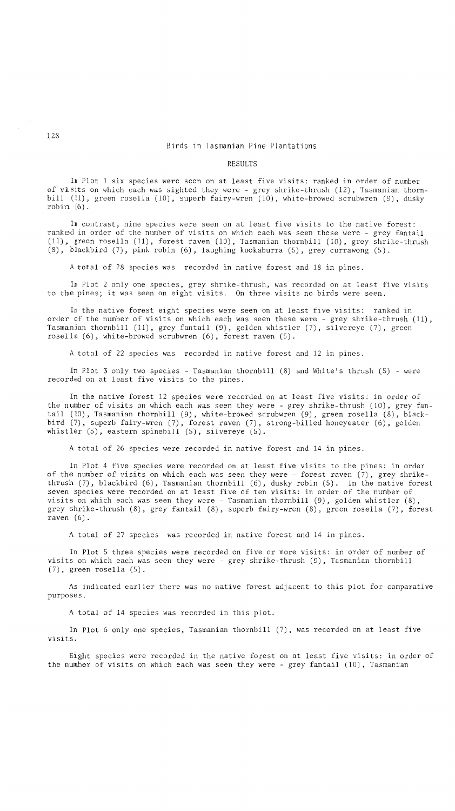# Birds in Tasmanian Pine Plantations

#### RESULTS

In Plot 1 six species were seen on at least five visits: ranked in order of number of visits on which each was sighted they were - grey shrike-thrush (12), Tasmanian thornbill (11), green rosella (10), superb fairy-wren (10), white-browed scrubwren (9), dusky robin (6).

In contrast, nine species were seen on at least five visits to the native forest: ranked in order of the number of visits on which each was seen these were - grey fantail (11). green rosella (11), forest raven (10), Tasmanian thornbill (10), grey shrike-thrush (8), blackbird (7), pink robin (6), laughing kookaburra (5), grey currawong (5).

A total of 28 species was recorded in native forest and 18 in pines.

In Plot 2 only one species, grey shrike-thrush, was recorded on at least five visits to the pines; it was seen on eight visits. On three visits no birds were seen.

In the native forest eight species were seen on at least five visits: ranked in order of the number of visits on which each was seen these were - grey shrike-thrush (11), Tasmanian thornbill (11), grey fantail (9), golden whistler (7), silvereye (7), green rosella (6), white-browed scrubwren (6), forest raven (5).

A total of 22 species was recorded in native forest and 12 in pines.

In Plot 3 only two species - Tasmanian thornbill (8) and White's thrush (5) - were recorded on at least five visits to the pines.

In the native forest 12 species were recorded on at least five visits: in order of the number of visits on which each was seen they were - grey shrike-thrush (10), grey fantail (10), Tasmanian thornbill (9), white-browed scrubwren (9), green rosella (8), blackbird (7), superb fairy-wren (7), forest raven (7), strong-billed honeyeater (6), golden whistler  $(5)$ , eastern spinebill  $(5)$ , silvereye  $(5)$ .

A total of 26 species were recorded in native forest and 14 in pines.

In Plot 4 five species were recorded on at least five visits to the pines: in order of the number of visits on which each was seen they were - forest raven (7), grey shrikethrush (7), blackbird (6), Tasmanian thornbill (6), dusky robin (5). In the native forest seven species were recorded on at least five of ten visits: in order of the number of visits on which each was seen they were - Tasmanian thornbill (9), golden whistler (8), grey shrike-thrush (8), grey fantail (8), superb fairy-wren (8), green rosella (7), forest raven (6).

A total of 27 species was recorded in native forest and 14 in pines.

In Plot 5 three species were recorded on five or more visits: in order of number of visits on which each was seen they were - grey shrike-thrush (9), Tasmanian thornbill (7), green rosella (5).

As indicated earlier there was no native forest adjacent to this plot for comparative purposes.

A total of 14 species was recorded in this plot.

In Plot 6 only one species, Tasmanian thornbill (7), was recorded on at least five visits.

Eight species were recorded in the native forest on at least five visits: in order of the number of visits on which each was seen they were - grey fantail (10), Tasmanian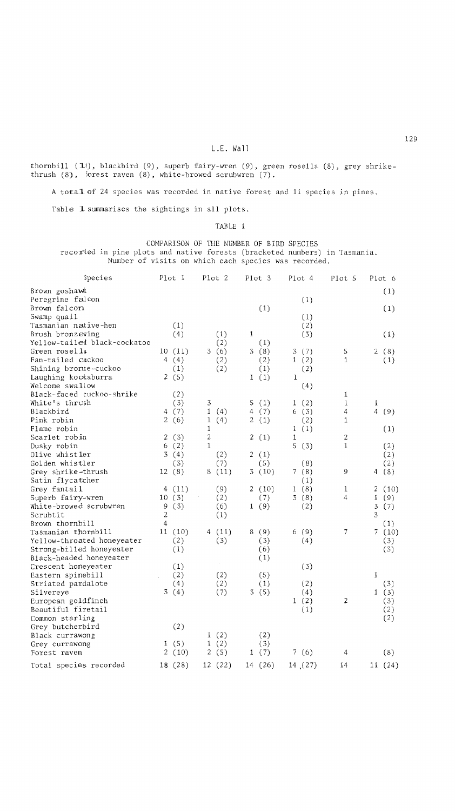thornbill (1), blackbird (9), superb fairy-wren (9), green rosella (8), grey shrikethrush (8), forest raven (8), white-browed scrubwren (7).

A tota1of 24 species was recorded in native forest and 11 species in pines.

Table 1 summarises the sightings in all plots.

TABLE 1

COMPARISON OF THE NUMBER OF BIRD SPECIES recorded in pine plots and native forests (bracketed numbers) in Tasmania. Number of visits on which each species was recorded.

| Species                                                | Plot 1                     |                | Plot <sub>2</sub> |    | Plot 3     |             | Plot 4  | Plot 5         |                     | Plot 6     |
|--------------------------------------------------------|----------------------------|----------------|-------------------|----|------------|-------------|---------|----------------|---------------------|------------|
| Brown goshawk                                          |                            |                |                   |    |            |             |         |                |                     | (1)        |
| Peregrine falcon                                       |                            |                |                   |    |            |             | (1)     |                |                     |            |
| Brown falcon                                           |                            |                |                   |    | (1)        |             |         |                |                     | (1)        |
| Swamp quail                                            |                            |                |                   |    |            |             | (1)     |                |                     |            |
| Tasmanian n <i>a</i> tive-hen                          | (1)                        |                |                   |    |            |             | (2)     |                |                     |            |
| Brush bronzewing                                       | (4)                        |                | (1)               | 1  |            |             | (3)     |                |                     | (1)        |
| Yellow-tailed black-cockatoo                           |                            |                | (2)               |    | (1)        |             |         |                |                     |            |
| Green rosella                                          | 10(11)                     |                | 3(6)              |    | 3(8)       |             | 3(7)    | 5              |                     | 2(8)       |
| Fan-tailed cuckoo                                      | 4(4)                       |                | (2)               |    | (2)        |             | 1(2)    | 1              |                     | (1)        |
| Shining bronze-cuckoo                                  | (1)                        |                | (2)               |    | (1)        |             | (2)     |                |                     |            |
| Laughing kookaburra                                    | 2(5)                       |                |                   |    | 1(1)       | $\mathbf 1$ |         |                |                     |            |
| Welcome swallow                                        |                            |                |                   |    |            |             | (4)     |                |                     |            |
| Black-faced cuckoo-shrike                              | (2)                        |                |                   |    |            |             |         | 1              |                     |            |
| White's thrush                                         | (3)                        | 3              |                   | 5  | (1)        |             | 1(2)    | 1              | 1                   |            |
| Blackbird                                              | 4(7)                       | $\mathbf{1}$   | (4)               | 4  | (7)        |             | 6(3)    | 4              | $\overline{4}$      | (9)        |
| Pink robin                                             | 2(6)                       | 1              | (4)               | 2  | (1)        |             | (2)     | 1              |                     |            |
| Flame robin                                            |                            | $\mathbf{1}$   |                   |    |            | 1           | (1)     |                |                     | (1)        |
| Scarlet robin                                          | 2<br>(3)                   | $\overline{2}$ |                   | 2  | (1)        | 1           |         | 2              |                     |            |
| Dusky robin                                            | 6<br>(2)                   | $\mathbf{1}$   |                   |    |            |             | 5(3)    | $\mathbf{1}$   |                     | (2)        |
| Olive whistler                                         | 3(4)                       |                | (2)               | 2  | (1)        |             |         |                |                     | (2)        |
| Golden whistler                                        | (3)                        |                | (7)               |    | (5)        |             | (8)     |                |                     | (2)        |
| Grey shrike-thrush                                     | 12(8)                      | 8              | (11)              | 3. | (10)       |             | 7(8)    | 9              | 4                   | (8)        |
| Satin flycatcher                                       |                            |                |                   |    |            |             | (1)     |                |                     |            |
| Grey fantail                                           | (11)<br>4                  |                | (9)               |    | 2(10)      |             | 1(8)    | 1              | 2                   | (10)       |
| Superb fairy-wren                                      | 10(3)                      |                | (2)               |    | (7)        |             | 3(8)    | $\overline{4}$ | 1                   | (9)        |
| White-browed scrubwren                                 | 9<br>(3)<br>$\overline{c}$ |                | (6)               |    | 1(9)       |             | (2)     |                | $\overline{3}$<br>3 | (7)        |
| Scrubtit                                               | 4                          |                | (1)               |    |            |             |         |                |                     |            |
| Brown thornbill                                        |                            |                |                   |    |            |             |         | 7              |                     | (1)        |
| Tasmanian thornbill                                    | 11(10)<br>(2)              |                | 4 (11)<br>(3)     |    | 8(9)       |             | 6(9)    |                |                     | 7(10)      |
| Yellow-throated honeyeater<br>Strong-billed honeyeater | (1)                        |                |                   |    | (3)<br>(6) |             | (4)     |                |                     | (3)<br>(3) |
| Black-headed honeyeater                                |                            |                |                   |    | (1)        |             |         |                |                     |            |
| Crescent honeyeater                                    | (1)                        |                |                   |    |            |             | (3)     |                |                     |            |
| Eastern spinebill                                      | (2)                        |                | (2)               |    | (5)        |             |         |                | 1                   |            |
| Striated pardalote                                     | (4)                        |                | (2)               |    | (1)        |             | (2)     |                |                     | (3)        |
| Silvereye                                              | 3(4)                       |                | (7)               |    | 3(5)       |             | (4)     |                |                     | 1(3)       |
| European goldfinch                                     |                            |                |                   |    |            |             | 1(2)    | $\overline{c}$ |                     | (3)        |
| Beautiful firetail                                     |                            |                |                   |    |            |             | (1)     |                |                     | (2)        |
| Common starling                                        |                            |                |                   |    |            |             |         |                |                     | (2)        |
| Grey butcherbird                                       | (2)                        |                |                   |    |            |             |         |                |                     |            |
| Black currawong                                        |                            |                | 1(2)              |    | (2)        |             |         |                |                     |            |
| Grey currawong                                         | 1(5)                       |                | 1(2)              |    | (3)        |             |         |                |                     |            |
| Forest raven                                           | 2<br>(10)                  |                | 2(5)              |    | 1(7)       |             | 7(6)    | 4              |                     | (8)        |
| Total species recorded                                 | 18 (28)                    |                | 12 (22)           |    | 14 (26)    |             | 14 (27) | 14             |                     | 11(24)     |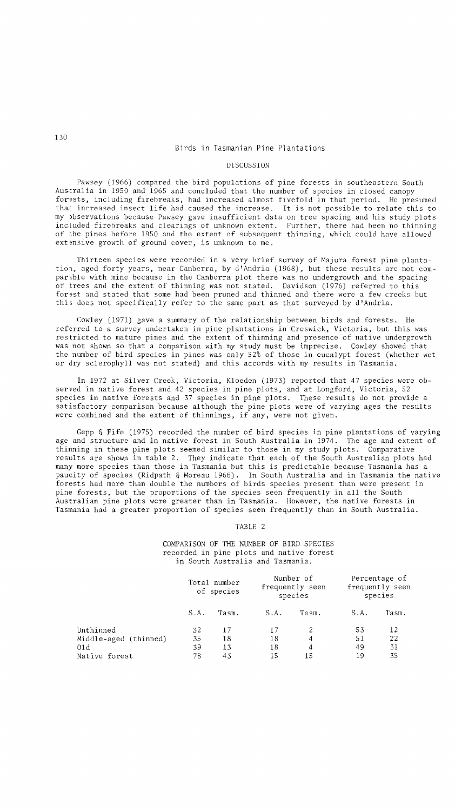# Birds in Tasmanian Pine Plantations

## DISCUSSION

Pawsey (1966) compared the bird populations of pine forests in southeastern South Australia in 1950 and 1965 and concluded that the number of species in closed canopy forests, including firebreaks, had increased almost fivefold in that period. He presumed that increased insect life had caused the increase. It is not possible to relate this to my observations because Pawsey gave insufficient data on tree spacing and his study plots included firebreaks and clearings of unknown extent. Further, there had been no thinning of the pines before 1950 and the extent of subsequent thinning, which could have allowed extensive growth of ground cover, is unknown to me.

Thirteen species were recorded in a very brief survey of Majura forest pine plantation, aged forty years, near Canberra, by d'Andria (1968), but these results are not comparable with mine because in the Canberra plot there was no undergrowth and the spacing of trees and the extent of thinning was not stated. Davidson (1976) referred to this forest and stated that some had been pruned and thinned and there were a few creeks but this does not specifically refer to the same part as that surveyed by d'Andria.

Cowley (1971) gave a summary of the relationship between birds and forests. He referred to a survey undertaken in pine plantations in Creswick, Victoria, but this was restricted to mature pines and the extent of thinning and presence of native undergrowth was not shown so that a comparison with my study must be imprecise. Cowley showed that the number of bird species in pines was only 52% of those in eucalypt forest (whether wet or dry sclerophyll was not stated) and this accords with my results in Tasmania.

In 1972 at Silver Creek, Victoria, Kloeden (1973) reported that 47 species were observed in native forest and 42 species in pine plots, and at Longford, Victoria, 52 species in native forests and 37 species in pine plots. These results do not provide a satisfactory comparison because although the pine plots were of varying ages the results were combined and the extent of thinnings, if any, were not given.

Gepp & Fife (1975) recorded the number of bird species in pine plantations of varying age and structure and in native forest in South Australia in 1974. The age and extent of thinning in these pine plots seemed similar to those in my study plots. Comparative results are shown in table 2. They indicate that each of the South Australian plots had many more species than those in Tasmania but this is predictable because Tasmania has a paucity of species (Ridpath & Moreau 1966). In South Australia and in Tasmania the native forests had more than double the numbers of birds species present than were present in pine forests, but the proportions of the species seen frequently in all the South Australian pine plots were greater than in Tasmania. However, the native forests in Tasmania had a greater proportion of species seen frequently than in South Australia.

TABLE 2

COMPARISON OF THE NUMBER OF BIRD. SPECIES recorded in pine plots and native forest in South Australia and Tasmania.

|                       |     | Total number<br>of species |      | Number of<br>frequently seen<br>species | Percentage of<br>frequently seen<br>species |       |  |
|-----------------------|-----|----------------------------|------|-----------------------------------------|---------------------------------------------|-------|--|
|                       | SA. | Tasm.                      | S.A. | Tasm.                                   | S.A.                                        | Tasm. |  |
| Unthinned             | 32  | 17                         | 17   | 2                                       | 53                                          | 12    |  |
| Middle-aged (thinned) | 35  | 18                         | 18   | 4                                       | 51                                          | 22    |  |
| 01d                   | 39  | 13                         | 18   | 4                                       | 49                                          | 31    |  |
| Native forest         | 78  | 43                         | 15   | 15                                      | 19                                          | 35    |  |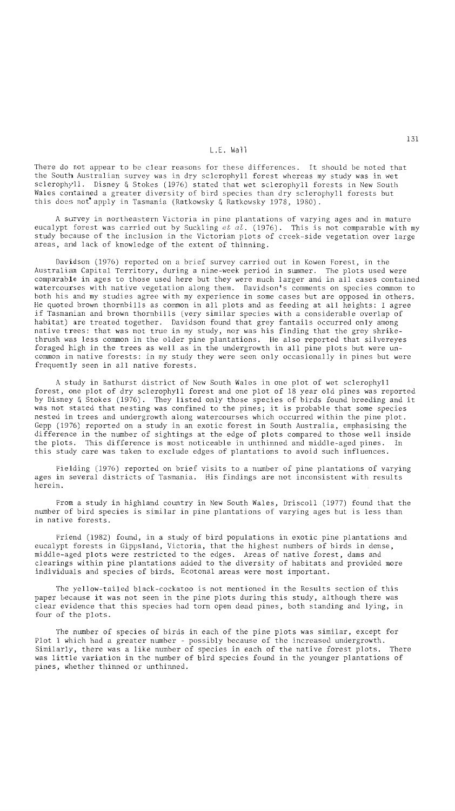# L.E. Wall

There do not appear to be clear reasons for these differences. It should be noted that the South Australian survey was in dry sclerophyll forest whereas my study was in wet sclerophyll. Disney & Stokes (1976) stated that wet sclerophyll forests in New South Wales contained a greater diversity of bird species than dry sclerophyll forests but this does not apply in Tasmania (Ratkowsky & Ratkowsky 1978, 1980).

A survey in northeastern Victoria in pine plantations of varying ages and in mature eucalypt forest was carried out by Suckling *et al.* (1976). This is not comparable with my study because of the inclusion in the Victorian plots of creek-side vegetation over large areas, and lack of knowledge of the extent of thinning.

Davidson (1976) reported on a brief survey carried out in Kowen Forest, in the Australian Capital Territory, during a nine-week period in summer. The plots used were comparable in ages to those used here but they were much larger and in all cases contained watercourses with native vegetation along them. Davidson's comments on species common to both his and my studies agree with my experience in some cases but are opposed in others. He quoted brown thornbills as common in all plots and as feeding at all heights: I agree if Tasmanian and brown thornbills (very similar species with a considerable overlap of habitat) are treated together. Davidson found that grey fantails occurred only among native trees: that was not true in my study, nor was his finding that the grey shrikethrush was less common in the older pine plantations. He also reported that silvereyes foraged high in the trees as well as in the undergrowth in all pine plots but were uncommon in native forests: in my study they were seen only occasionally in pines but were frequently seen in all native forests.

A study in Bathurst district of New South Wales in one plot of wet sclerophyll forest, one plot of dry sclerophyll forest and one plot of 18 year old pines was reported by Disney & Stokes (1976). They listed only those species of birds found breeding and it was not stated that nesting was confined to the pines; it is probable that some species nested in trees and undergrowth along watercourses which occurred within the pine plot. Gepp (1976) reported on a study in an exotic forest in South Australia, emphasising the difference in the number of sightings at the edge of plots compared to those well inside the plots. This difference is most noticeable in unthinned and middle-aged pines. In this study care was taken to exclude edges of plantations to avoid such influences.

Fielding (1976) reported on brief visits to a number of pine plantations of varying ages in several districts of Tasmania. His findings are not inconsistent with results herein.

From a study in highland country in New South Wales, Driscoll (1977) found that the number of bird species is similar in pine plantations of varying ages but is less than in native forests.

Friend (1982) found, in a study of bird populations in exotic pine plantations and eucalypt forests in Gippsland, Victoria, that the highest numbers of birds in dense, middle-aged plots were restricted to the edges. Areas of native forest, dams and clearings within pine plantations added to the diversity of habitats and provided more individuals and species of birds. Ecotonal areas were most important.

The yellow-tailed black-cockatoo is not mentioned in the Results section of this paper because it was not seen in the pine plots during this study, although there was clear evidence that this species had torn open dead pines, both standing and lying, in four of the plots.

The number of species of birds in each of the pine plots was similar, except for Plot 1 which had a greater number - possibly because of the increased undergrowth. Similarly, there was a like number of species in each of the native forest plots. There was little variation in the number of bird species found in the younger plantations of pines, whether thinned or unthinned.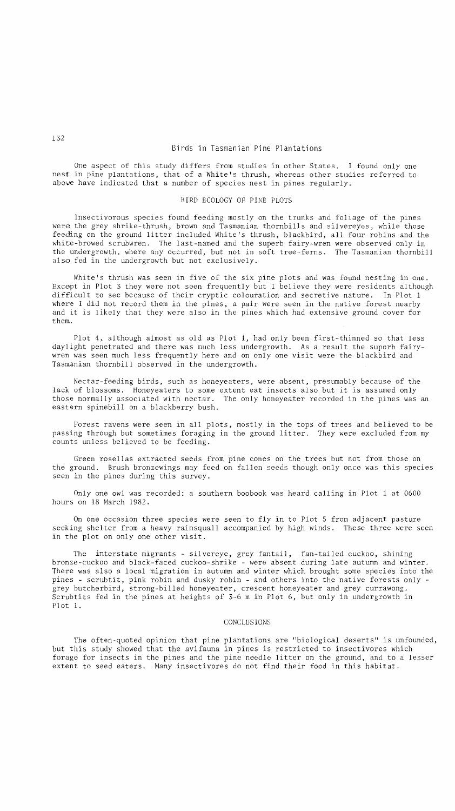# Birds in Tasmanian Pine Plantations

One aspect of this study differs from studies in other States. I found only one nest in pine plantations, that of a White's thrush, whereas other studies referred to above have indicated that a number of species nest in pines regularly.

## BIRD ECOLOGY OF PINE PLOTS

Insectivorous species found feeding mostly on the trunks and foliage of the pines were the grey shrike-thrush, brown and Tasmanian thornbills and silvereyes, while those feeding on the ground litter included White's thrush, blackbird, all four robins and the white-browed scrubwren. The last-named and the superb fairy-wren were observed only in the undergrowth, where any occurred, but not in soft tree-ferns. The Tasmanian thornbill also fed in the undergrowth but not exclusively.

White's thrush was seen in five of the six pine plots and was found nesting in one. Except in Plot 3 they were not seen frequently but I believe they were residents although difficult to see because of their cryptic colouration and secretive nature. In Plot 1 where I did not record them in the pines, a pair were seen in the native forest nearby and it is likely that they were also in the pines which had extensive ground cover for them.

Plot 4, although almost as old as Plot 1, had only been first-thinned so that less daylight penetrated and there was much less undergrowth. As a result the superb fairywren was seen much less frequently here and on only one visit were the blackbird and Tasmanian thornbill observed in the undergrowth.

Nectar-feeding birds, such as honeyeaters, were absent, presumably because of the lack of blossoms. Honeyeaters to some extent eat insects also but it is assumed only those normally associated with nectar. The only honeyeater recorded in the pines was an eastern spinebill on a blackberry bush.

Forest ravens were seen in all plots, mostly in the tops of trees and believed to be passing through but sometimes foraging in the ground litter. They were excluded from my counts unless believed to be feeding.

Green rosellas extracted seeds from pine cones on the trees but not from those on the ground. Brush bronzewings may feed on fallen seeds though only once was this species seen in the pines during this survey.

Only one owl was recorded: a southern boobook was heard calling in Plot 1 at 0600 hours on 18 March 1982.

On one occasion three species were seen to fly in to Plot 5 from adjacent pasture seeking shelter from a heavy rainsquall accompanied by high winds. These three were seen in the plot on only one other visit.

The interstate migrants - silvereye, grey fantail, fan-tailed cuckoo, shining bronze-cuckoo and black-faced cuckoo-shrike - were absent during late autumn and winter. There was also a local migration in autumn and winter which brought some species into the pines - scrubtit, pink robin and dusky robin - and others into the native forests only grey butcherbird, strong-billed honeyeater, crescent honeyeater and grey currawong. Scrubtits fed in the pines at heights of 3-6 m in Plot 6, but only in undergrowth in Plot 1.

### CONCLUSIONS

The often-quoted opinion that pine plantations are "biological deserts" is unfounded, but this study showed that the avifauna in pines is restricted to insectivores which forage for insects in the pines and the pine needle litter on the ground, and to a lesser extent to seed eaters. Many insectivores do not find their food in this habitat.